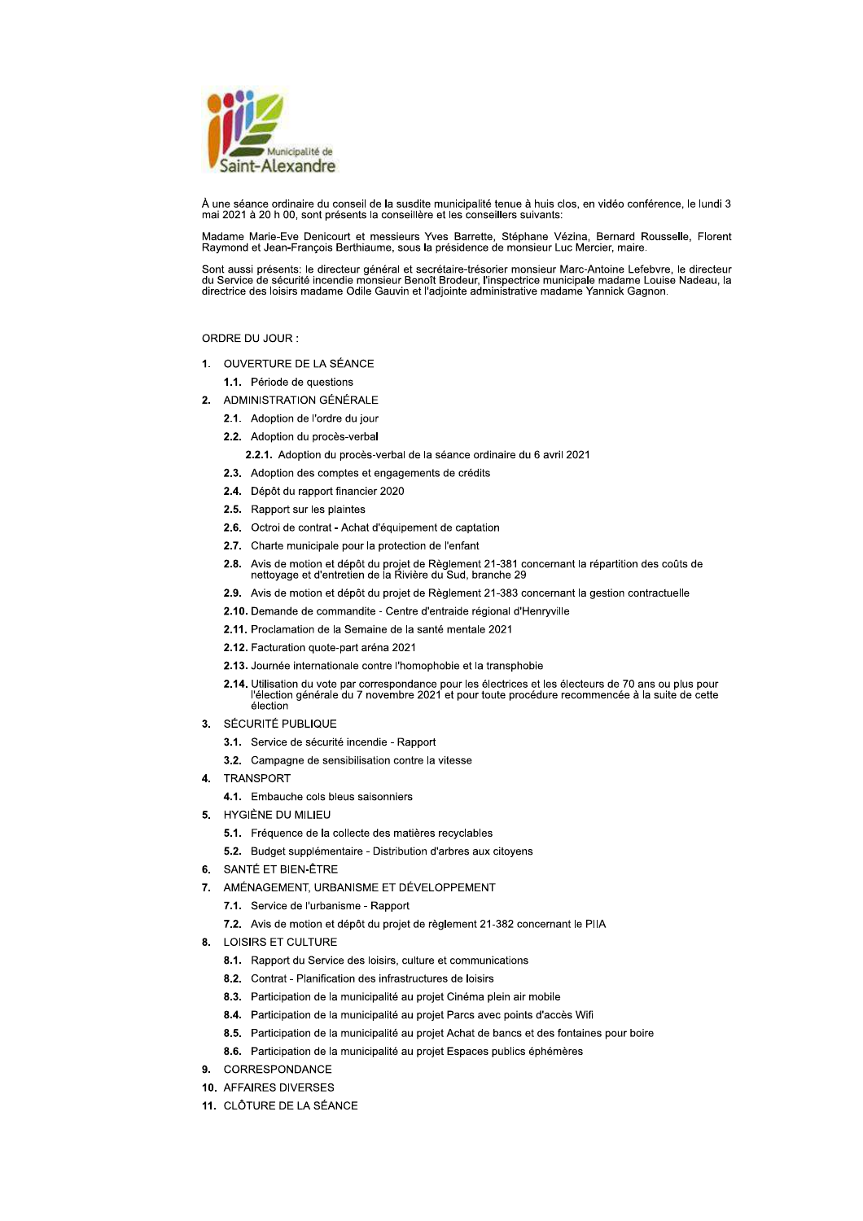

À une séance ordinaire du conseil de la susdite municipalité tenue à huis clos, en vidéo conférence, le lundi 3 mai 2021 à 20 h 00, sont présents la conseillère et les conseillers suivants:

Madame Marie-Eve Denicourt et messieurs Yves Barrette, Stéphane Vézina, Bernard Rousselle, Florent Raymond et Jean-François Berthiaume, sous la présidence de monsieur Luc Mercier, maire

Sont aussi présents: le directeur général et secrétaire-trésorier monsieur Marc-Antoine Lefebvre, le directeur du Service de sécurité incendie monsieur Benoît Brodeur, l'inspectrice municipale madame Louise Nadeau, la directrice des loisirs madame Odile Gauvin et l'adjointe administrative madame Yannick Gagnon.

# ORDRE DU JOUR :

1. OUVERTURE DE LA SÉANCE

1.1. Période de questions

- 2. ADMINISTRATION GÉNÉRALE
	- 2.1. Adoption de l'ordre du jour
	- 2.2. Adoption du procès-verbal
		- 2.2.1. Adoption du procès-verbal de la séance ordinaire du 6 avril 2021
	- 2.3. Adoption des comptes et engagements de crédits
	- 2.4. Dépôt du rapport financier 2020
	- 2.5. Rapport sur les plaintes
	- 2.6. Octroi de contrat Achat d'équipement de captation
	- 2.7. Charte municipale pour la protection de l'enfant
	- 2.8. Avis de motion et dépôt du projet de Règlement 21-381 concernant la répartition des coûts de nettoyage et d'entretien de la Rivière du Sud, branche 29
	- 2.9. Avis de motion et dépôt du projet de Règlement 21-383 concernant la gestion contractuelle
	- 2.10. Demande de commandite Centre d'entraide régional d'Henryville
	- 2.11. Proclamation de la Semaine de la santé mentale 2021
	- 2.12. Facturation quote-part aréna 2021
	- 2.13. Journée internationale contre l'homophobie et la transphobie
	- 2.14. Utilisation du vote par correspondance pour les électrices et les électeurs de 70 ans ou plus pour<br>l'élection générale du 7 novembre 2021 et pour toute procédure recommencée à la suite de cette élection
- 3. SÉCURITÉ PUBLIQUE
	- 3.1. Service de sécurité incendie Rapport
	- 3.2. Campagne de sensibilisation contre la vitesse
- 4. TRANSPORT
	- 4.1. Embauche cols bleus saisonniers
- 5. HYGIÈNE DU MILIEU
	- 5.1. Fréquence de la collecte des matières recyclables
	- 5.2. Budget supplémentaire Distribution d'arbres aux citovens
- 6. SANTÉ ET BIEN-ÊTRE
- 7. AMÉNAGEMENT, URBANISME ET DÉVELOPPEMENT
	- 7.1. Service de l'urbanisme Rapport
	- 7.2. Avis de motion et dépôt du projet de règlement 21-382 concernant le PIIA
- 8. LOISIRS ET CULTURE
	- 8.1. Rapport du Service des loisirs, culture et communications
	- 8.2. Contrat Planification des infrastructures de loisirs
	- 8.3. Participation de la municipalité au projet Cinéma plein air mobile
	- 8.4. Participation de la municipalité au projet Parcs avec points d'accès Wifi
	- 8.5. Participation de la municipalité au projet Achat de bancs et des fontaines pour boire
	- 8.6. Participation de la municipalité au projet Espaces publics éphémères
- 9. CORRESPONDANCE
- 10. AFFAIRES DIVERSES
- 11. CLÔTURE DE LA SÉANCE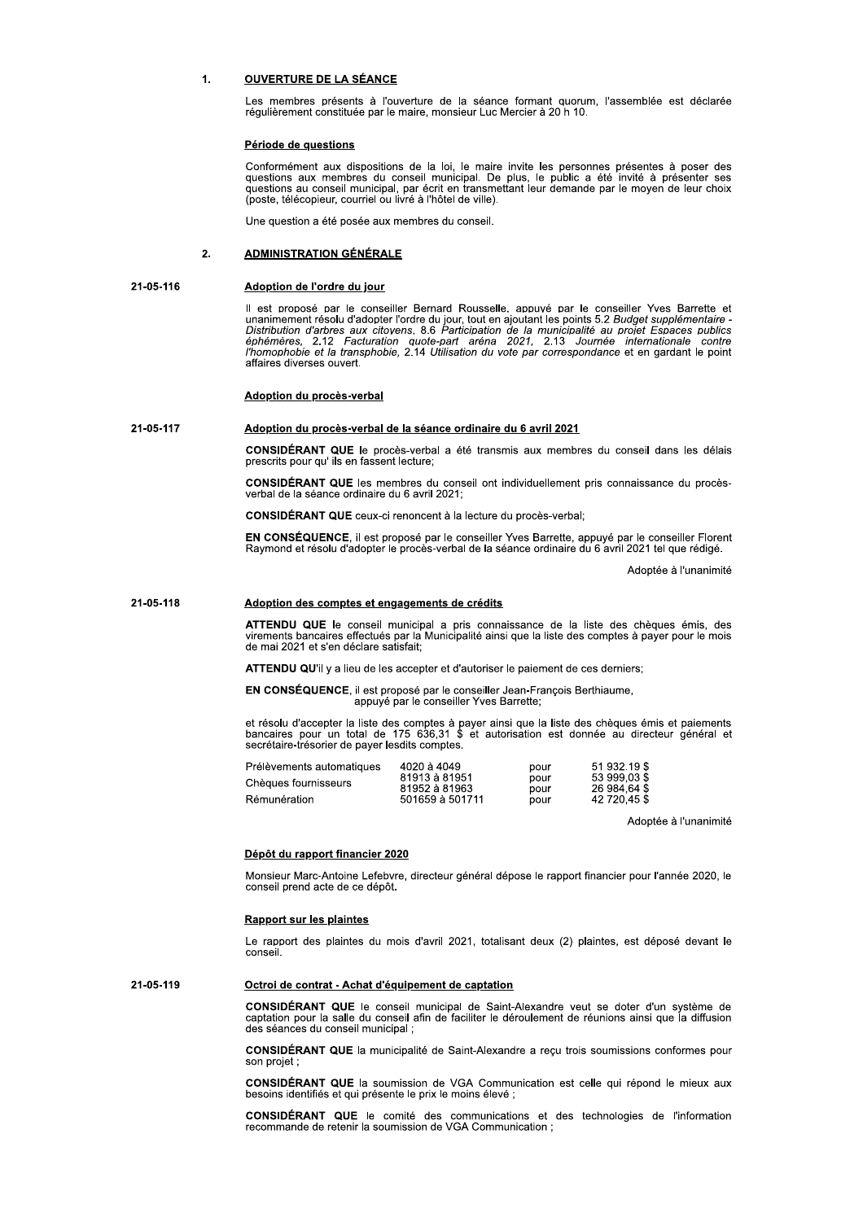# **OUVERTURE DE LA SÉANCE**  $\blacksquare$

Les membres présents à l'ouverture de la séance formant quorum, l'assemblée est déclarée régulièrement constituée par le maire, monsieur Luc Mercier à 20 h 10.

# Période de questions

Conformément aux dispositions de la loi, le maire invite les personnes présentes à poser des questions aux membres du conseil municipal. De plus, le public a été invité à présenter ses questions au conseil municipal, par é

Une question a été posée aux membres du conseil.

## $2.$ **ADMINISTRATION GÉNÉRALE**

# 21-05-116 Adoption de l'ordre du jour

Il est proposé par le conseiller Bernard Rousselle, appuvé par le conseiller Yves Barrette et res propose par le conseille d'adopter l'ordre du jour, tout en ajoutant les points 5.2 Budget supplémentaire -<br>Distribution d'arbres aux citovens. 8.6 Participation de la municipalité au projet Espaces publics<br>éphémères, affaires diverses ouvert.

# Adoption du procès-verbal

## 21-05-117 Adoption du procès-verbal de la séance ordinaire du 6 avril 2021

CONSIDÉRANT QUE le procès-verbal a été transmis aux membres du conseil dans les délais prescrits pour qu' ils en fassent lecture;

CONSIDÉRANT QUE les membres du conseil ont individuellement pris connaissance du procès-<br>verbal de la séance ordinaire du 6 avril 2021;

CONSIDÉRANT QUE ceux-ci renoncent à la lecture du procès-verbal;

EN CONSÉQUENCE, il est proposé par le conseiller Yves Barrette, appuyé par le conseiller Florent Raymond et résolu d'adopter le procès-verbal de la séance ordinaire du 6 avril 2021 tel que rédigé.

Adoptée à l'unanimité

#### 21-05-118 Adoption des comptes et engagements de crédits

ATTENDU QUE le conseil municipal a pris connaissance de la liste des chèques émis, des virements bancaires effectués par la Municipalité ainsi que la liste des comptes à payer pour le mois de mai 2021 et s'en déclare satis

**ATTENDU QU'il y a lieu de les accepter et d'autoriser le paiement de ces derniers:** 

EN CONSÉQUENCE, il est proposé par le conseiller Jean-François Berthiaume, appuyé par le conseiller Yves Barrette:

et résolu d'accepter la liste des comptes à payer ainsi que la liste des chèques émis et paiements bancaires pour un total de 175 636,31 \$ et autorisation est donnée au directeur général et secrétaire-trésorier de payer le

| Prélèvements automatiques | 4020 à 4049                                       | pour         | 51 932.19 \$                                 |
|---------------------------|---------------------------------------------------|--------------|----------------------------------------------|
| Chèques fournisseurs      | 81913 à 81951<br>81952 à 81963<br>501659 à 501711 | pour         | 53 999 03 \$<br>26 984 64 \$<br>42 720.45 \$ |
| Rémunération              |                                                   | pour<br>pour |                                              |
|                           |                                                   |              |                                              |

Adoptée à l'unanimité

# Dépôt du rapport financier 2020

Monsieur Marc-Antoine Lefebvre, directeur général dépose le rapport financier pour l'année 2020, le conseil prend acte de ce dépôt.

# **Rapport sur les plaintes**

Le rapport des plaintes du mois d'avril 2021, totalisant deux (2) plaintes, est déposé devant le conseil.

## 21-05-119 Octroi de contrat - Achat d'équipement de captation

CONSIDÉRANT QUE le conseil municipal de Saint-Alexandre veut se doter d'un système de captation pour la salle du conseil afin de faciliter le déroulement de réunions ainsi que la diffusion des séances du conseil municipal ;

CONSIDÉRANT QUE la municipalité de Saint-Alexandre a reçu trois soumissions conformes pour son projet

CONSIDÉRANT QUE la soumission de VGA Communication est celle qui répond le mieux aux besoins identifiés et qui présente le prix le moins élevé ;

**CONSIDÉRANT QUE** le comité des communications et des technologies de l'information recommande de retenir la soumission de VGA Communication;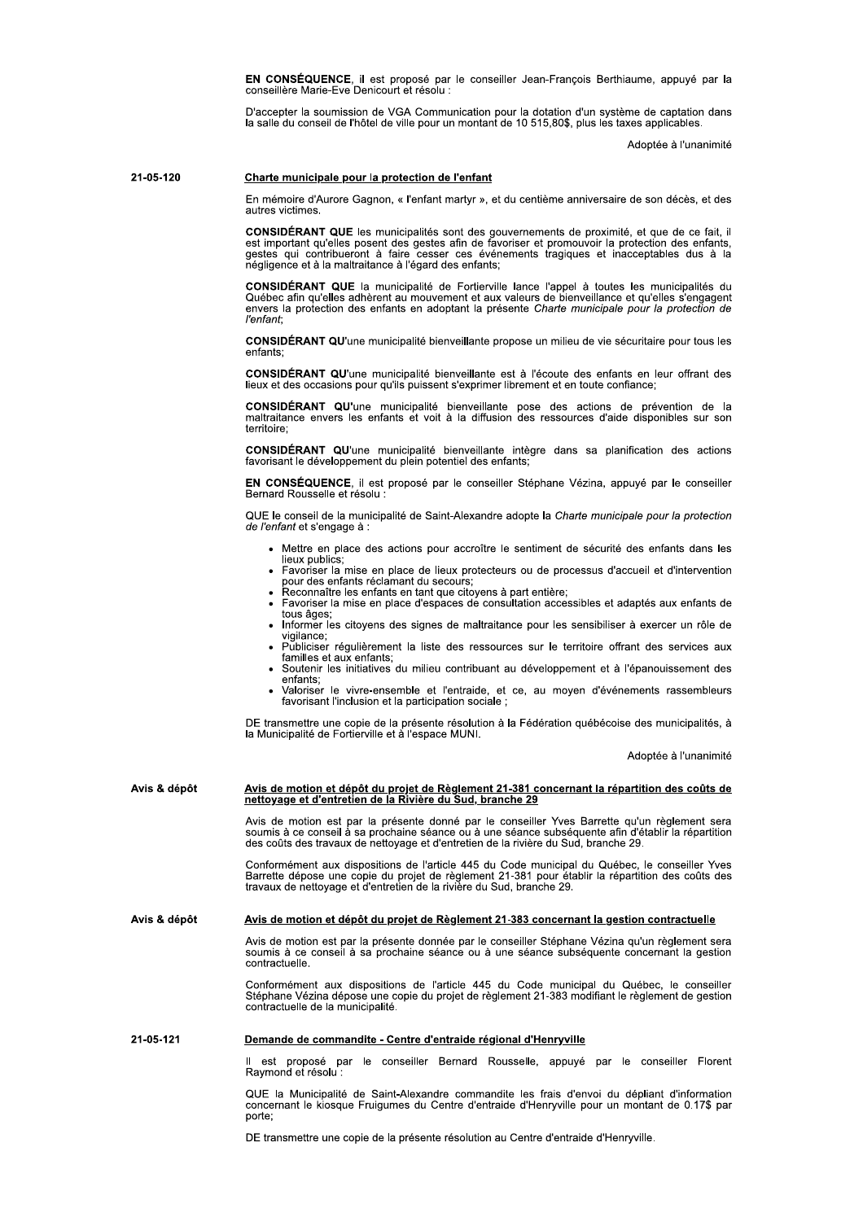EN CONSÉQUENCE, il est proposé par le conseiller Jean-François Berthiaume, appuyé par la conseillère Marie-Eve Denicourt et résolu :

D'accepter la soumission de VGA Communication pour la dotation d'un système de captation dans<br>la salle du conseil de l'hôtel de ville pour un montant de 10 515.80\$, plus les taxes applicables.

Adoptée à l'unanimité

#### 21-05-120 Charte municipale pour la protection de l'enfant

En mémoire d'Aurore Gagnon, « l'enfant martyr », et du centième anniversaire de son décès, et des autres victimes

CONSIDÉRANT QUE les municipalités sont des gouvernements de proximité, et que de ce fait, il est important qu'elles posent des gestes afin de favoriser et promouvoir la protection des enfants, gestes qui contribueront à fa

CONSIDÉRANT QUE la municipalité de Fortierville lance l'appel à toutes les municipalités du<br>Québec afin qu'elles adhèrent au mouvement et aux valeurs de bienveillance et qu'elles s'engagent envers la protection des enfants en adoptant la présente Charte municipale pour la protection de l'enfant<sup>.</sup>

CONSIDÉRANT QU'une municipalité bienveillante propose un milieu de vie sécuritaire pour tous les enfants:

CONSIDÉRANT QU'une municipalité bienveillante est à l'écoute des enfants en leur offrant des lieux et des occasions pour qu'ils puissent s'exprimer librement et en toute confiance;

CONSIDÉRANT QU'une municipalité bienveillante pose des actions de prévention de la<br>maltraitance envers les enfants et voit à la diffusion des ressources d'aide disponibles sur son territoire:

CONSIDÉRANT QU'une municipalité bienveillante intègre dans sa planification des actions favorisant le développement du plein potentiel des enfants.

EN CONSÉQUENCE, il est proposé par le conseiller Stéphane Vézina, appuyé par le conseiller Bernard Rousselle et résolu

QUE le conseil de la municipalité de Saint-Alexandre adopte la Charte municipale pour la protection de l'enfant et s'engage à :

- Mettre en place des actions pour accroître le sentiment de sécurité des enfants dans les
- lieux publics;<br>Favoriser la mise en place de lieux protecteurs ou de processus d'accueil et d'intervention pour des enfants réclamant du secours;<br>Reconnaître les enfants réclamant du secours;<br>Reconnaître les enfants en tant que citoyens à part entière;<br>Favoriser la mise en place d'espaces de consultation accessibles et adaptés
- 
- tous âges;
- · Informer les citoyens des signes de maltraitance pour les sensibiliser à exercer un rôle de vigilance:
- Publiciser régulièrement la liste des ressources sur le territoire offrant des services aux familles et aux enfants;
- Soutenir les initiatives du milieu contribuant au développement et à l'épanouissement des enfants;
- Valoriser le vivre-ensemble et l'entraide, et ce, au moyen d'événements rassembleurs favorisant l'inclusion et la participation sociale :

DE transmettre une copie de la présente résolution à la Fédération québécoise des municipalités, à<br>la Municipalité de Fortierville et à l'espace MUNI.

Adoptée à l'unanimité

# Avis de motion et dépôt du projet de Règlement 21-381 concernant la répartition des coûts de nettoyage et d'entretien de la Rivière du Sud, branche 29 Avis & dépôt

Avis de motion est par la présente donné par le conseiller Yves Barrette qu'un règlement sera soumis à ce conseil à sa prochaine séance ou à une séance subséquente afin d'établir la répartition des coûts des travaux de net

Conformément aux dispositions de l'article 445 du Code municipal du Québec, le conseiller Yves<br>Barrette dépose une copie du projet de règlement 21-381 pour établir la répartition des coûts des travaux de nettoyage et d'entretien de la rivière du Sud, branche 29.

Avis & dépôt Avis de motion et dépôt du projet de Règlement 21-383 concernant la gestion contractuelle

> Avis de motion est par la présente donnée par le conseiller Stéphane Vézina qu'un règlement sera soumis à ce conseil à sa prochaine séance ou à une séance subséquente concernant la gestion contractuelle.

> Conformément aux dispositions de l'article 445 du Code municipal du Québec, le conseiller<br>Stéphane Vézina dépose une copie du projet de règlement 21-383 modifiant le règlement de gestion contractuelle de la municipalité.

# 21-05-121 Demande de commandite - Centre d'entraide régional d'Henryville

est proposé par le conseiller Bernard Rousselle, appuyé par le conseiller Florent Raymond et résolu

QUE la Municipalité de Saint-Alexandre commandite les frais d'envoi du dépliant d'information concernant le kiosque Fruigumes du Centre d'entraide d'Henryville pour un montant de 0.17\$ par porte:

DE transmettre une copie de la présente résolution au Centre d'entraide d'Henryville.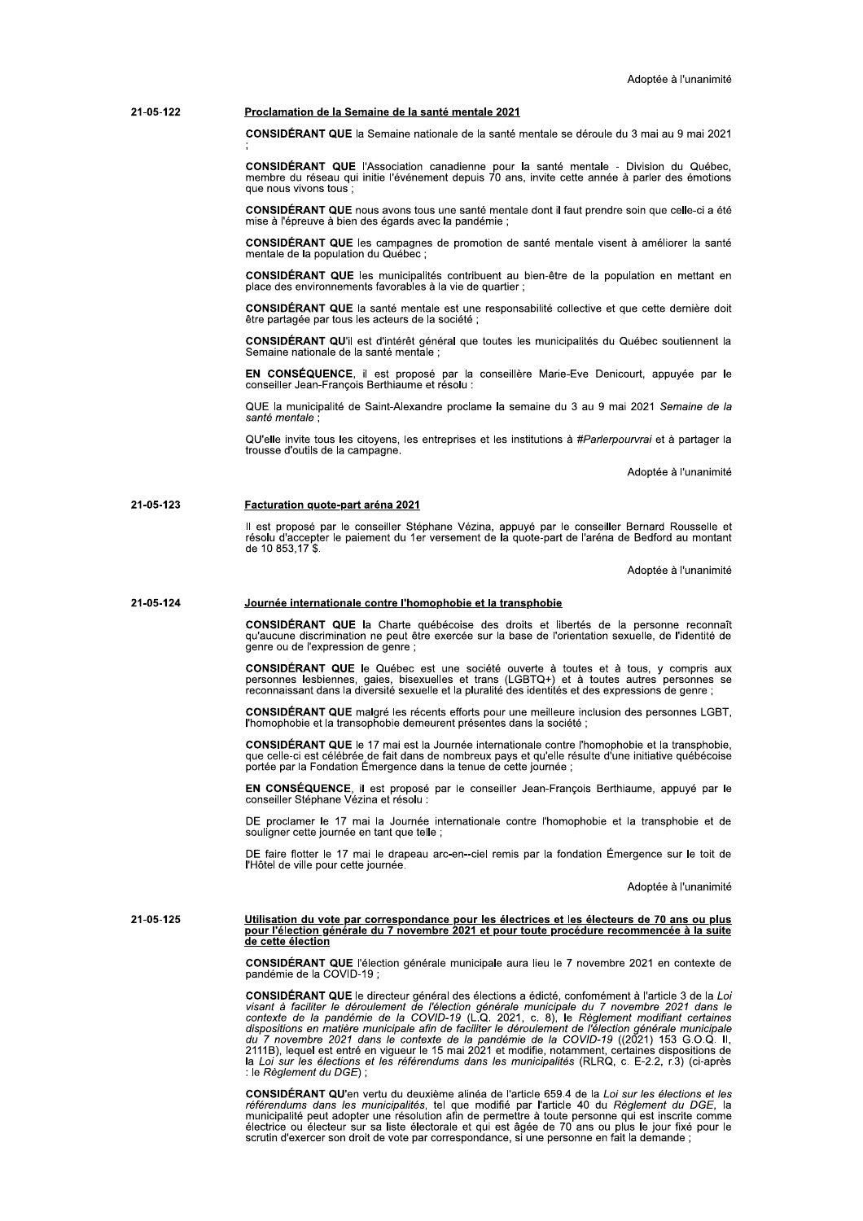#### 21-05-122 Proclamation de la Semaine de la santé mentale 2021

CONSIDÉRANT QUE la Semaine nationale de la santé mentale se déroule du 3 mai au 9 mai 2021

CONSIDÉRANT QUE l'Association canadienne pour la santé mentale - Division du Québec, membre du réseau qui initie l'événement depuis 70 ans, invite cette année à parler des émotions que nous vivons tous :

CONSIDÉRANT QUE nous avons tous une santé mentale dont il faut prendre soin que celle-ci a été mise à l'épreuve à bien des égards avec la pandémie :

CONSIDÉRANT QUE les campagnes de promotion de santé mentale visent à améliorer la santé mentale de la population du Québec :

CONSIDÉRANT QUE les municipalités contribuent au bien-être de la population en mettant en place des environnements favorables à la vie de quartier ;

CONSIDÉRANT QUE la santé mentale est une responsabilité collective et que cette dernière doit être partagée par tous les acteurs de la société ;

CONSIDÉRANT QU'il est d'intérêt général que toutes les municipalités du Québec soutiennent la Semaine nationale de la santé mentale ;

EN CONSÉQUENCE, il est proposé par la conseillère Marie-Eve Denicourt, appuyée par le conseiller Jean-François Berthiaume et résolu :

QUE la municipalité de Saint-Alexandre proclame la semaine du 3 au 9 mai 2021 Semaine de la santé mentale

QU'elle invite tous les citoyens, les entreprises et les institutions à #Parlerpourvrai et à partager la trousse d'outils de la campagne.

Adoptée à l'unanimité

# 21-05-123 Facturation quote-part aréna 2021

Il est proposé par le conseiller Stéphane Vézina, appuyé par le conseiller Bernard Rousselle et<br>résolu d'accepter le paiement du 1er versement de la quote-part de l'aréna de Bedford au montant de 10 853,17 \$.

Adoptée à l'unanimité

## 21-05-124 Journée internationale contre l'homophobie et la transphobie

CONSIDÉRANT QUE la Charte québécoise des droits et libertés de la personne reconnaît qu'aucune discrimination ne peut être exercée sur la base de l'orientation sexuelle, de l'identité de genre ou de l'expression de genre;

CONSIDÉRANT QUE le Québec est une société ouverte à toutes et à tous, y compris aux personnes lesbiennes, gaies, bisexuelles et trans (LGBTQ+) et à toutes autres personnes se reconnaissant dans la diversité sexuelle et la pluralité des identités et des expressions de genre ;

CONSIDÉRANT QUE malgré les récents efforts pour une meilleure inclusion des personnes LGBT, l'homophobie et la transophobie demeurent présentes dans la société

CONSIDÉRANT QUE le 17 mai est la Journée internationale contre l'homophobie et la transphobie, que celle-ci est célébrée de fait dans de nombreux pays et qu'elle résulte d'une initiative québécoise portée par la Fondation Émergence dans la tenue de cette journée ;

EN CONSÉQUENCE, il est proposé par le conseiller Jean-François Berthiaume, appuyé par le conseiller Stéphane Vézina et résolu :

DE proclamer le 17 mai la Journée internationale contre l'homophobie et la transphobie et de souligner cette journée en tant que telle ;

DE faire flotter le 17 mai le drapeau arc-en--ciel remis par la fondation Émergence sur le toit de l'Hôtel de ville pour cette journée.

Adoptée à l'unanimité

21-05-125

# Utilisation du vote par correspondance pour les électrices et les électeurs de 70 ans ou plus<br>pour l'élection générale du 7 novembre 2021 et pour toute procédure recommencée à la suite de cette élection

**CONSIDÉRANT QUE** l'élection générale municipale aura lieu le 7 novembre 2021 en contexte de pandémie de la COVID-19

**CONSIDÉRANT QUE** le directeur général des élections a édicté, confomément à l'article 3 de la Loi<br>visant à faciliter le déroulement de l'élection générale municipale du 7 novembre 2021 dans le<br>contexte de la pandémie de la Loi sur les élections et les référendums dans les municipalités (RLRQ, c. E-2.2, r.3) (ci-après : le Règlement du DGE) :

**CONSIDÉRANT QU'**en vertu du deuxième alinéa de l'article 659.4 de la Loi sur les élections et les référendums dans les municipalités, tel que modifié par l'article 40 du Règlement du DGE, la municipalité peut adopter une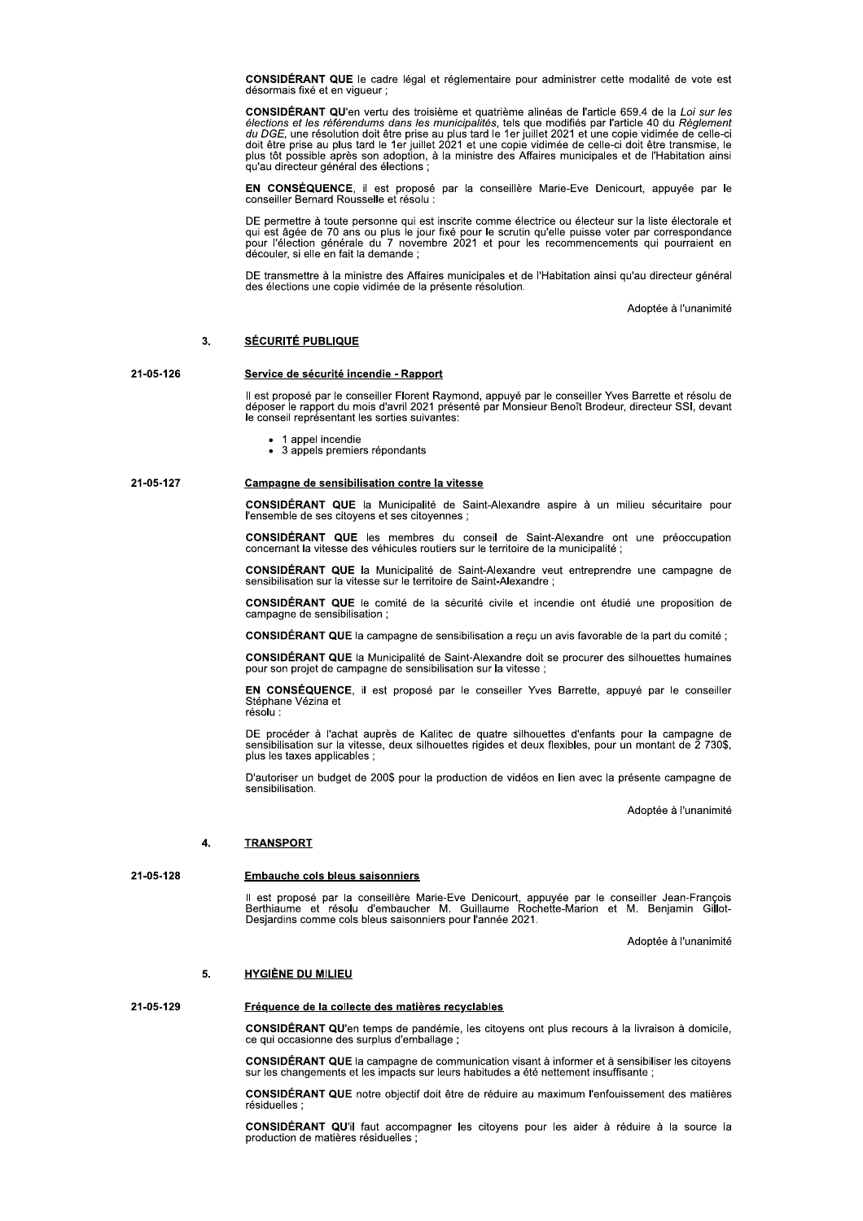CONSIDÉRANT QUE le cadre légal et réglementaire pour administrer cette modalité de vote est désormais fixé et en vigueur ;

**CONSIDÉRANT QU'**en vertu des troisième et quatrième alinéas de l'article 659.4 de la Loi sur les élections et les référendums dans les municipalités, tels que modifiés par l'article 40 du Règlement du DGE, une résolution qu'au directeur général des élections

EN CONSÉQUENCE, il est proposé par la conseillère Marie-Eve Denicourt, appuyée par le conseiller Bernard Rousselle et résolu :

DE permettre à toute personne qui est inscrite comme électrice ou électeur sur la liste électorale et qui est âgée de 70 ans ou plus le jour fixé pour le scrutin qu'elle puisse voter par correspondance pour l'élection géné

DE transmettre à la ministre des Affaires municipales et de l'Habitation ainsi qu'au directeur général des élections une copie vidimée de la présente résolution.

Adoptée à l'unanimité

# $3.$ **SÉCURITÉ PUBLIQUE**

# 21-05-126 Service de sécurité incendie - Rapport

Il est proposé par le conseiller Florent Raymond, appuyé par le conseiller Yves Barrette et résolu de<br>déposer le rapport du mois d'avril 2021 présenté par Monsieur Benoît Brodeur, directeur SSI, devant le conseil représentant les sorties suivantes:

- 1 appel incendie
- 3 appels premiers répondants

#### 21-05-127 Campagne de sensibilisation contre la vitesse

CONSIDÉRANT QUE la Municipalité de Saint-Alexandre aspire à un milieu sécuritaire pour l'ensemble de ses citoyens et ses citoyennes ;

**CONSIDÉRANT QUE** les membres du conseil de Saint-Alexandre ont une préoccupation concernant la vitesse des véhicules routiers sur le territoire de la municipalité ;

CONSIDÉRANT QUE la Municipalité de Saint-Alexandre veut entreprendre une campagne de sensibilisation sur la vitesse sur le territoire de Saint-Alexandre ;

CONSIDÉRANT QUE le comité de la sécurité civile et incendie ont étudié une proposition de campagne de sensibilisation ;

CONSIDÉRANT QUE la campagne de sensibilisation a recu un avis favorable de la part du comité ;

CONSIDÉRANT QUE la Municipalité de Saint-Alexandre doit se procurer des silhouettes humaines pour son projet de campagne de sensibilisation sur la vitesse ;

EN CONSÉQUENCE, il est proposé par le conseiller Yves Barrette, appuyé par le conseiller Stéphane Vézina et résolu :

DE procéder à l'achat auprès de Kalitec de quatre silhouettes d'enfants pour la campagne de sensibilisation sur la vitesse, deux silhouettes rigides et deux flexibles, pour un montant de 2 730\$, plus les taxes applicables :

D'autoriser un budget de 200\$ pour la production de vidéos en lien avec la présente campagne de sensibilisation.

Adoptée à l'unanimité

#### $\overline{\mathbf{A}}$ **TRANSPORT**

21-05-128

# **Embauche cols bleus saisonniers**

Il est proposé par la conseillère Marie-Eve Denicourt, appuyée par le conseiller Jean-François<br>Berthiaume et résolu d'embaucher M. Guillaume Rochette-Marion et M. Benjamin Gillot-<br>Desjardins comme cols bleus saisonniers po

Adoptée à l'unanimité

# $\mathbf{5}$ **HYGIÈNE DU MILIEU**

# 21-05-129 Fréquence de la collecte des matières recyclables

CONSIDÉRANT QU'en temps de pandémie, les citoyens ont plus recours à la livraison à domicile, ce qui occasionne des surplus d'emballage ;

CONSIDÉRANT QUE la campagne de communication visant à informer et à sensibiliser les citoyens sur les changements et les impacts sur leurs habitudes a été nettement insuffisante ;

CONSIDÉRANT QUE notre objectif doit être de réduire au maximum l'enfouissement des matières résiduelles

CONSIDÉRANT QU'il faut accompagner les citoyens pour les aider à réduire à la source la production de matières résiduelles :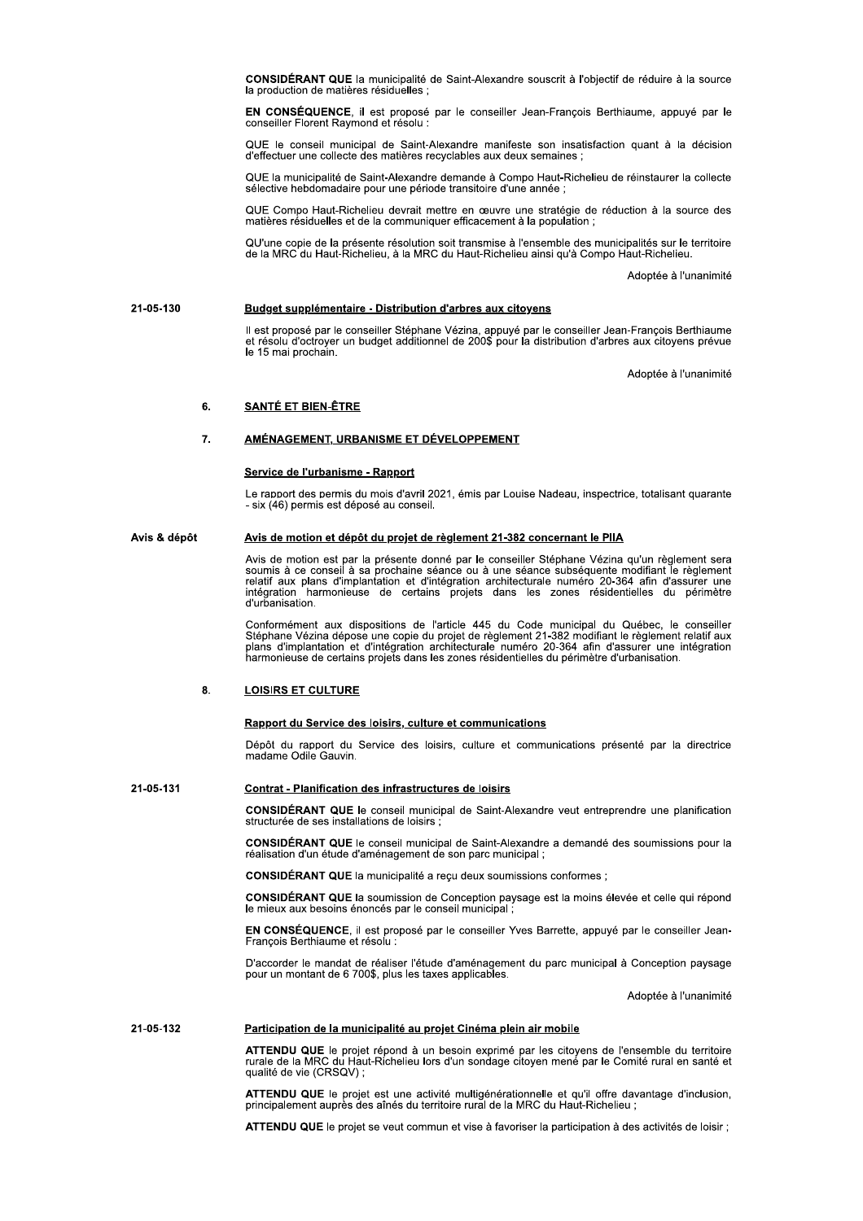CONSIDÉRANT QUE la municipalité de Saint-Alexandre souscrit à l'objectif de réduire à la source la production de matières résiduelles ;

EN CONSÉQUENCE, il est proposé par le conseiller Jean-François Berthiaume, appuyé par le conseiller Florent Raymond et résolu :

QUE le conseil municipal de Saint-Alexandre manifeste son insatisfaction quant à la décision d'effectuer une collecte des matières recyclables aux deux semaines :

QUE la municipalité de Saint-Alexandre demande à Compo Haut-Richelieu de réinstaurer la collecte<br>sélective hebdomadaire pour une période transitoire d'une année :

QUE Compo Haut-Richelieu devrait mettre en œuvre une stratégie de réduction à la source des matières résiduelles et de la communiquer efficacement à la population ;

QU'une copie de la présente résolution soit transmise à l'ensemble des municipalités sur le territoire<br>de la MRC du Haut-Richelieu, à la MRC du Haut-Richelieu ainsi qu'à Compo Haut-Richelieu.

Adoptée à l'unanimité

# 21-05-130 Budget supplémentaire - Distribution d'arbres aux citoyens

Il est proposé par le conseiller Stéphane Vézina, appuyé par le conseiller Jean-François Berthiaume<br>et résolu d'octroyer un budget additionnel de 200\$ pour la distribution d'arbres aux citoyens prévue le 15 mai prochain.

Adoptée à l'unanimité

## 6. **SANTÉ ET BIEN-ÊTRE**

#### $\overline{7}$ . AMÉNAGEMENT, URBANISME ET DÉVELOPPEMENT

# Service de l'urbanisme - Rapport

Le rapport des permis du mois d'avril 2021, émis par Louise Nadeau, inspectrice, totalisant quarante - six (46) permis est déposé au conseil.

#### Avis & dépôt Avis de motion et dépôt du projet de règlement 21-382 concernant le PIIA

Avis de motion est par la présente donné par le conseiller Stéphane Vézina qu'un règlement sera<br>soumis à ce conseil à sa prochaine séance ou à une séance subséquente modifiant le règlement belatif aux plans d'implantation et d'intégration architecturale numéro 20-364 afin d'assurer une intégration harmonieuse de certains projets dans les zones résidentielles du périmètre d'urbanisation.

Conformément aux dispositions de l'article 445 du Code municipal du Québec, le conseiller<br>Stéphane Vézina dépose une copie du projet de règlement 21-382 modifiant le règlement relatif aux Senante vezna depose une copie du projecte de numéro 20-364 afin d'assurer une intégration<br>plans d'implantation et d'intégration architecturale numéro 20-364 afin d'assurer une intégration<br>harmonieuse de certains projets d

## $8.$ **LOISIRS ET CULTURE**

# Rapport du Service des loisirs, culture et communications

Dépôt du rapport du Service des loisirs, culture et communications présenté par la directrice madame Odile Gauvin.

## 21-05-131 **Contrat - Planification des infrastructures de loisirs**

CONSIDÉRANT QUE le conseil municipal de Saint-Alexandre veut entreprendre une planification structurée de ses installations de loisirs ;

CONSIDÉRANT QUE le conseil municipal de Saint-Alexandre a demandé des soumissions pour la réalisation d'un étude d'aménagement de son parc municipal;

CONSIDÉRANT QUE la municipalité a reçu deux soumissions conformes ;

CONSIDÉRANT QUE la soumission de Conception paysage est la moins élevée et celle qui répond le mieux aux besoins énoncés par le conseil municipal ;

EN CONSÉQUENCE, il est proposé par le conseiller Yves Barrette, appuyé par le conseiller Jean-Francois Berthiaume et résolu :

D'accorder le mandat de réaliser l'étude d'aménagement du parc municipal à Conception paysage pour un montant de 6 700\$, plus les taxes applicables.

Adoptée à l'unanimité

#### 21-05-132 Participation de la municipalité au projet Cinéma plein air mobile

ATTENDU QUE le projet répond à un besoin exprimé par les citoyens de l'ensemble du territoire rurale de la MRC du Haut-Richelieu lors d'un sondage citoyen mené par le Comité rural en santé et<br>qualité de vie (CRSQV) ;

ATTENDU QUE le projet est une activité multigénérationnelle et qu'il offre davantage d'inclusion, principalement auprès des aînés du territoire rural de la MRC du Haut-Richelieu ;

ATTENDU QUE le projet se veut commun et vise à favoriser la participation à des activités de loisir ;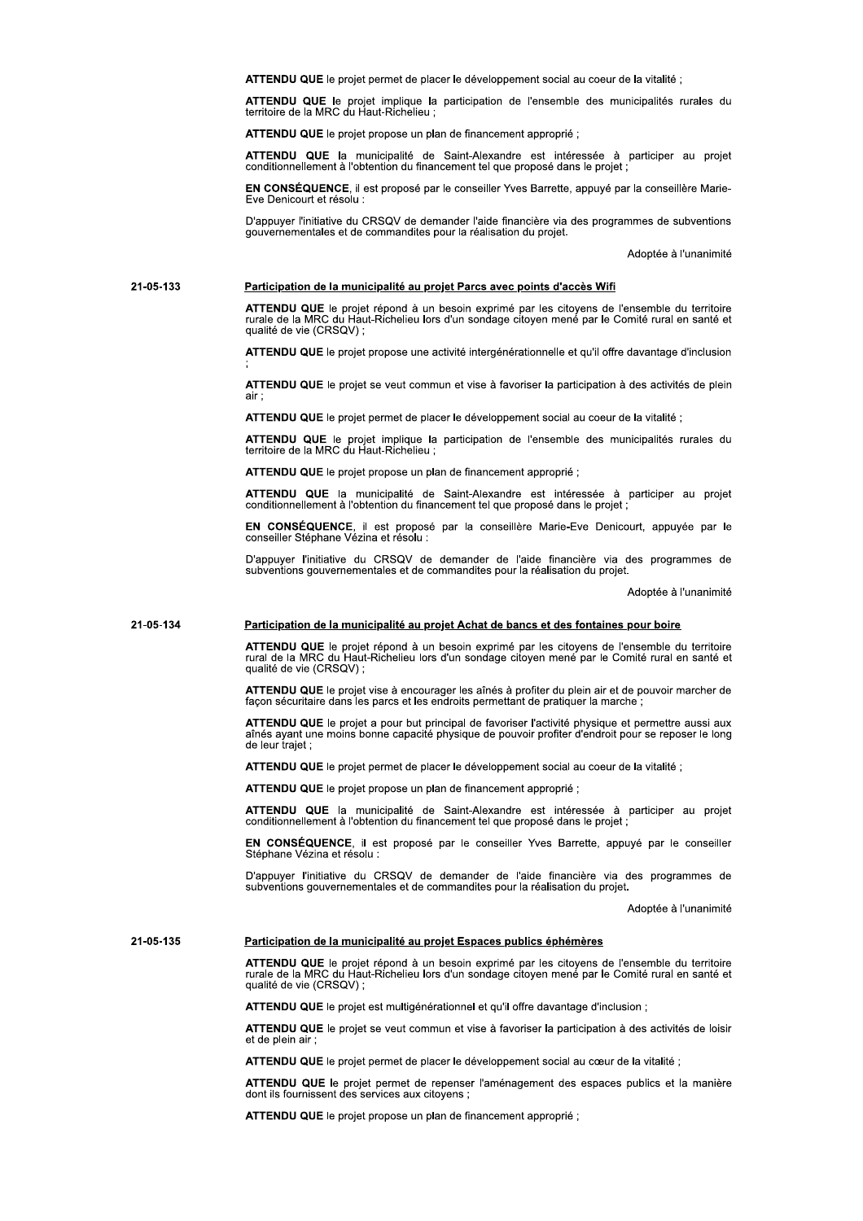ATTENDU QUE le projet permet de placer le développement social au coeur de la vitalité ;

ATTENDU QUE le projet implique la participation de l'ensemble des municipalités rurales du territoire de la MRC du Haut-Richelieu ;

ATTENDU QUE le projet propose un plan de financement approprié ;

ATTENDU QUE la municipalité de Saint-Alexandre est intéressée à participer au projet conditionnellement à l'obtention du financement tel que proposé dans le projet ;

EN CONSÉQUENCE, il est proposé par le conseiller Yves Barrette, appuyé par la conseillère Marie-Eve Denicourt et résolu :

D'appuver l'initiative du CRSQV de demander l'aide financière via des programmes de subventions gouvernementales et de commandites pour la réalisation du projet.

Adoptée à l'unanimité

# 21-05-133 Participation de la municipalité au projet Parcs avec points d'accès Wifi

ATTENDU QUE le projet répond à un besoin exprimé par les citoyens de l'ensemble du territoire rurale de la MRC du Haut-Richelieu lors d'un sondage citoyen mené par le Comité rural en santé et<br>qualité de vie (CRSQV) ;

ATTENDU QUE le projet propose une activité intergénérationnelle et qu'il offre davantage d'inclusion

ATTENDU QUE le projet se veut commun et vise à favoriser la participation à des activités de plein air

ATTENDU QUE le projet permet de placer le développement social au coeur de la vitalité ;

ATTENDU QUE le projet implique la participation de l'ensemble des municipalités rurales du territoire de la MRC du Haut-Richelieu ;

ATTENDU QUE le projet propose un plan de financement approprié ;

ATTENDU QUE la municipalité de Saint-Alexandre est intéressée à participer au projet conditionnellement à l'obtention du financement tel que proposé dans le projet ;

EN CONSÉQUENCE, il est proposé par la conseillère Marie-Eve Denicourt, appuyée par le conseiller Stéphane Vézina et résolu :

D'appuyer l'initiative du CRSQV de demander de l'aide financière via des programmes de subventions gouvernementales et de commandites pour la réalisation du projet.

Adoptée à l'unanimité

# 21-05-134 Participation de la municipalité au projet Achat de bancs et des fontaines pour boire

ATTENDU QUE le projet répond à un besoin exprimé par les citoyens de l'ensemble du territoire rural de la MRC du Haut-Richelieu lors d'un sondage citoyen mené par le Comité rural en santé et qualité de vie (CRSQV) :

ATTENDU QUE le projet vise à encourager les aînés à profiter du plein air et de pouvoir marcher de façon sécuritaire dans les parcs et les endroits permettant de pratiquer la marche;

ATTENDU QUE le projet a pour but principal de favoriser l'activité physique et permettre aussi aux aînés ayant une moins bonne capacité physique de pouvoir profiter d'endroit pour se reposer le long de leur trajet;

ATTENDU QUE le projet permet de placer le développement social au coeur de la vitalité ;

ATTENDU QUE le projet propose un plan de financement approprié ;

ATTENDU QUE la municipalité de Saint-Alexandre est intéressée à participer au projet conditionnellement à l'obtention du financement tel que proposé dans le projet ;

EN CONSÉQUENCE, il est proposé par le conseiller Yves Barrette, appuyé par le conseiller Stéphane Vézina et résolu :

D'appuyer l'initiative du CRSQV de demander de l'aide financière via des programmes de subventions gouvernementales et de commandites pour la réalisation du projet.

Adoptée à l'unanimité

#### 21-05-135 Participation de la municipalité au projet Espaces publics éphémères

ATTENDU QUE le projet répond à un besoin exprimé par les citoyens de l'ensemble du territoire rurale de la MRC du Haut-Richelieu lors d'un sondage citoyen mené par le Comité rural en santé et qualité de vie (CRSQV);

ATTENDU QUE le projet est multigénérationnel et qu'il offre davantage d'inclusion ;

ATTENDU QUE le projet se veut commun et vise à favoriser la participation à des activités de loisir et de plein air :

ATTENDU QUE le projet permet de placer le développement social au cœur de la vitalité ;

ATTENDU QUE le projet permet de repenser l'aménagement des espaces publics et la manière dont ils fournissent des services aux citoyens ;

ATTENDU QUE le projet propose un plan de financement approprié ;